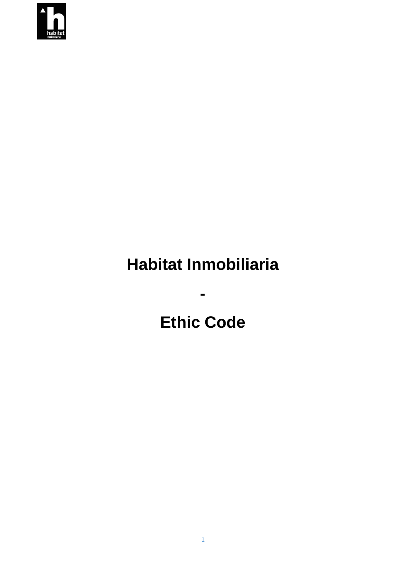

## **Habitat Inmobiliaria**

**-**

# **Ethic Code**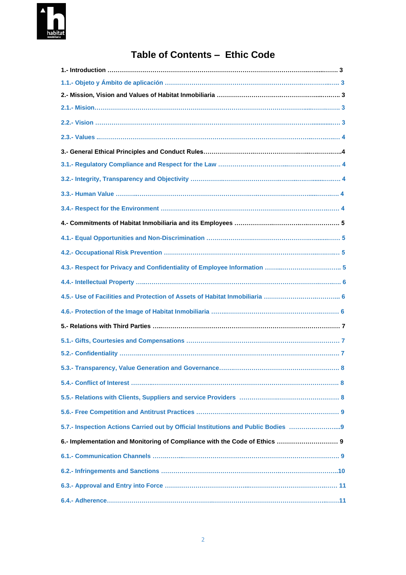

### **Table of Contents – Ethic Code**

| 5.7.- Inspection Actions Carried out by Official Institutions and Public Bodies |
|---------------------------------------------------------------------------------|
|                                                                                 |
|                                                                                 |
|                                                                                 |
|                                                                                 |
|                                                                                 |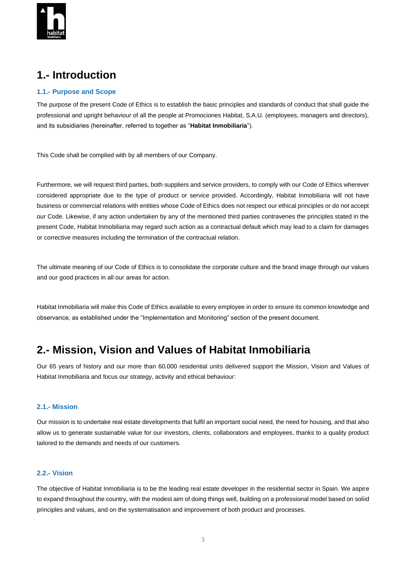

### **1.- Introduction**

#### **1.1.- Purpose and Scope**

The purpose of the present Code of Ethics is to establish the basic principles and standards of conduct that shall guide the professional and upright behaviour of all the people at Promociones Habitat, S.A.U. (employees, managers and directors), and its subsidiaries (hereinafter, referred to together as "**Habitat Inmobiliaria**").

This Code shall be complied with by all members of our Company.

Furthermore, we will request third parties, both suppliers and service providers, to comply with our Code of Ethics wherever considered appropriate due to the type of product or service provided. Accordingly, Habitat Inmobiliaria will not have business or commercial relations with entities whose Code of Ethics does not respect our ethical principles or do not accept our Code. Likewise, if any action undertaken by any of the mentioned third parties contravenes the principles stated in the present Code, Habitat Inmobiliaria may regard such action as a contractual default which may lead to a claim for damages or corrective measures including the termination of the contractual relation.

The ultimate meaning of our Code of Ethics is to consolidate the corporate culture and the brand image through our values and our good practices in all our areas for action.

Habitat Inmobiliaria will make this Code of Ethics available to every employee in order to ensure its common knowledge and observance, as established under the "Implementation and Monitoring" section of the present document.

### **2.- Mission, Vision and Values of Habitat Inmobiliaria**

Our 65 years of history and our more than 60.000 residential units delivered support the Mission, Vision and Values of Habitat Inmobiliaria and focus our strategy, activity and ethical behaviour:

#### **2.1.- Mission**

Our mission is to undertake real estate developments that fulfil an important social need, the need for housing, and that also allow us to generate sustainable value for our investors, clients, collaborators and employees, thanks to a quality product tailored to the demands and needs of our customers.

#### **2.2.- Vision**

The objective of Habitat Inmobiliaria is to be the leading real estate developer in the residential sector in Spain. We aspire to expand throughout the country, with the modest aim of doing things well, building on a professional model based on soliid principles and values, and on the systematisation and improvement of both product and processes.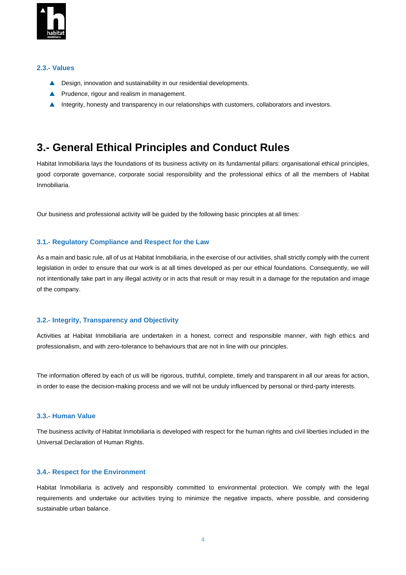

#### **2.3.- Values**

- ▲ Design, innovation and sustainability in our residential developments.
- **A** Prudence, rigour and realism in management.
- Integrity, honesty and transparency in our relationships with customers, collaborators and investors.

### **3.- General Ethical Principles and Conduct Rules**

Habitat Inmobiliaria lays the foundations of its business activity on its fundamental pillars: organisational ethical principles, good corporate governance, corporate social responsibility and the professional ethics of all the members of Habitat Inmobiliaria.

Our business and professional activity will be guided by the following basic principles at all times:

#### **3.1.- Regulatory Compliance and Respect for the Law**

As a main and basic rule, all of us at Habitat Inmobiliaria, in the exercise of our activities, shall strictly comply with the current legislation in order to ensure that our work is at all times developed as per our ethical foundations. Consequently, we will not intentionally take part in any illegal activity or in acts that result or may result in a damage for the reputation and image of the company.

#### **3.2.- Integrity, Transparency and Objectivity**

Activities at Habitat Inmobiliaria are undertaken in a honest, correct and responsible manner, with high ethics and professionalism, and with zero-tolerance to behaviours that are not in line with our principles.

The information offered by each of us will be rigorous, truthful, complete, timely and transparent in all our areas for action, in order to ease the decision-making process and we will not be unduly influenced by personal or third-party interests.

#### **3.3.- Human Value**

The business activity of Habitat Inmobiliaria is developed with respect for the human rights and civil liberties included in the Universal Declaration of Human Rights.

#### **3.4.- Respect for the Environment**

Habitat Inmobiliaria is actively and responsibly committed to environmental protection. We comply with the legal requirements and undertake our activities trying to minimize the negative impacts, where possible, and considering sustainable urban balance.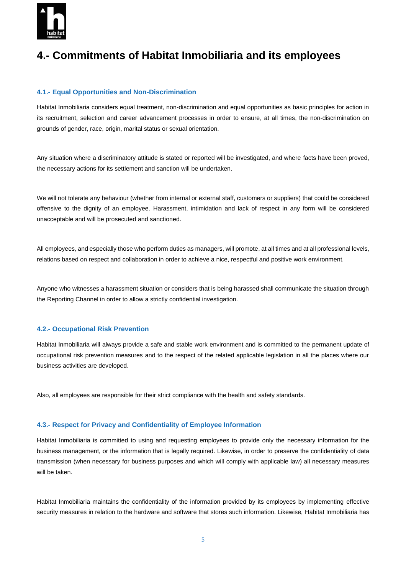

### **4.- Commitments of Habitat Inmobiliaria and its employees**

#### **4.1.- Equal Opportunities and Non-Discrimination**

Habitat Inmobiliaria considers equal treatment, non-discrimination and equal opportunities as basic principles for action in its recruitment, selection and career advancement processes in order to ensure, at all times, the non-discrimination on grounds of gender, race, origin, marital status or sexual orientation.

Any situation where a discriminatory attitude is stated or reported will be investigated, and where facts have been proved, the necessary actions for its settlement and sanction will be undertaken.

We will not tolerate any behaviour (whether from internal or external staff, customers or suppliers) that could be considered offensive to the dignity of an employee. Harassment, intimidation and lack of respect in any form will be considered unacceptable and will be prosecuted and sanctioned.

All employees, and especially those who perform duties as managers, will promote, at all times and at all professional levels, relations based on respect and collaboration in order to achieve a nice, respectful and positive work environment.

Anyone who witnesses a harassment situation or considers that is being harassed shall communicate the situation through the Reporting Channel in order to allow a strictly confidential investigation.

#### **4.2.- Occupational Risk Prevention**

Habitat Inmobiliaria will always provide a safe and stable work environment and is committed to the permanent update of occupational risk prevention measures and to the respect of the related applicable legislation in all the places where our business activities are developed.

Also, all employees are responsible for their strict compliance with the health and safety standards.

#### **4.3.- Respect for Privacy and Confidentiality of Employee Information**

Habitat Inmobiliaria is committed to using and requesting employees to provide only the necessary information for the business management, or the information that is legally required. Likewise, in order to preserve the confidentiality of data transmission (when necessary for business purposes and which will comply with applicable law) all necessary measures will be taken.

Habitat Inmobiliaria maintains the confidentiality of the information provided by its employees by implementing effective security measures in relation to the hardware and software that stores such information. Likewise, Habitat Inmobiliaria has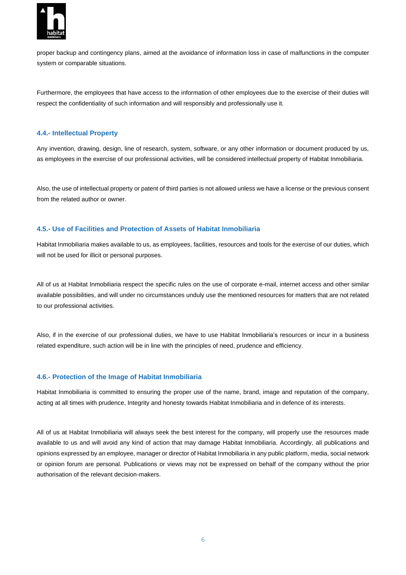

proper backup and contingency plans, aimed at the avoidance of information loss in case of malfunctions in the computer system or comparable situations.

Furthermore, the employees that have access to the information of other employees due to the exercise of their duties will respect the confidentiality of such information and will responsibly and professionally use it.

#### **4.4.- Intellectual Property**

Any invention, drawing, design, line of research, system, software, or any other information or document produced by us, as employees in the exercise of our professional activities, will be considered intellectual property of Habitat Inmobiliaria.

Also, the use of intellectual property or patent of third parties is not allowed unless we have a license or the previous consent from the related author or owner.

#### **4.5.- Use of Facilities and Protection of Assets of Habitat Inmobiliaria**

Habitat Inmobiliaria makes available to us, as employees, facilities, resources and tools for the exercise of our duties, which will not be used for illicit or personal purposes.

All of us at Habitat Inmobiliaria respect the specific rules on the use of corporate e-mail, internet access and other similar available possibilities, and will under no circumstances unduly use the mentioned resources for matters that are not related to our professional activities.

Also, if in the exercise of our professional duties, we have to use Habitat Inmobiliaria's resources or incur in a business related expenditure, such action will be in line with the principles of need, prudence and efficiency.

#### **4.6.- Protection of the Image of Habitat Inmobiliaria**

Habitat Inmobiliaria is committed to ensuring the proper use of the name, brand, image and reputation of the company, acting at all times with prudence, Integrity and honesty towards Habitat Inmobiliaria and in defence of its interests.

All of us at Habitat Inmobiliaria will always seek the best interest for the company, will properly use the resources made available to us and will avoid any kind of action that may damage Habitat Inmobiliaria. Accordingly, all publications and opinions expressed by an employee, manager or director of Habitat Inmobiliaria in any public platform, media, social network or opinion forum are personal. Publications or views may not be expressed on behalf of the company without the prior authorisation of the relevant decision-makers.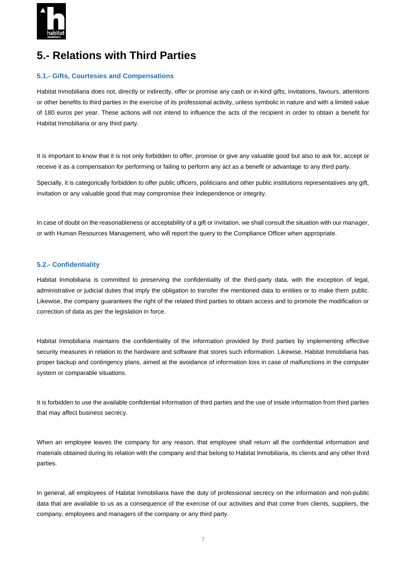

### **5.- Relations with Third Parties**

#### **5.1.- Gifts, Courtesies and Compensations**

Habitat Inmobiliaria does not, directly or indirectly, offer or promise any cash or in-kind gifts, invitations, favours, attentions or other benefits to third parties in the exercise of its professional activity, unless symbolic in nature and with a limited value of 180 euros per year. These actions will not intend to influence the acts of the recipient in order to obtain a benefit for Habitat Inmobiliaria or any third party.

It is important to know that it is not only forbidden to offer, promise or give any valuable good but also to ask for, accept or receive it as a compensation for performing or failing to perform any act as a benefit or advantage to any third party.

Specially, it is categorically forbidden to offer public officers, politicians and other public institutions representatives any gift, invitation or any valuable good that may compromise their Independence or integrity.

In case of doubt on the reasonableness or acceptability of a gift or invitation, we shall consult the situation with our manager, or with Human Resources Management, who will report the query to the Compliance Officer when appropriate.

#### **5.2.- Confidentiality**

Habitat Inmobiliaria is committed to preserving the confidentiality of the third-party data, with the exception of legal, administrative or judicial duties that imply the obligation to transfer the mentioned data to entities or to make them public. Likewise, the company guarantees the right of the related third parties to obtain access and to promote the modification or correction of data as per the legislation in force.

Habitat Inmobiliaria maintains the confidentiality of the information provided by third parties by implementing effective security measures in relation to the hardware and software that stores such information. Likewise, Habitat Inmobiliaria has proper backup and contingency plans, aimed at the avoidance of information loss in case of malfunctions in the computer system or comparable situations.

It is forbidden to use the available confidential information of third parties and the use of inside information from third parties that may affect business secrecy.

When an employee leaves the company for any reason, that employee shall return all the confidential information and materials obtained during its relation with the company and that belong to Habitat Inmobiliaria, its clients and any other third parties.

In general, all employees of Habitat Inmobiliaria have the duty of professional secrecy on the information and non-public data that are available to us as a consequence of the exercise of our activities and that come from clients, suppliers, the company, employees and managers of the company or any third party.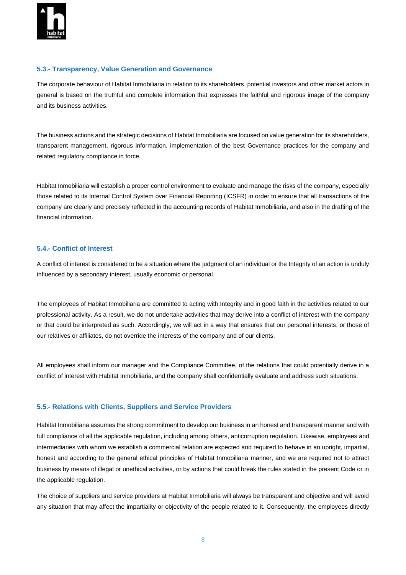

#### **5.3.- Transparency, Value Generation and Governance**

The corporate behaviour of Habitat Inmobiliaria in relation to its shareholders, potential investors and other market actors in general is based on the truthful and complete information that expresses the faithful and rigorous image of the company and its business activities.

The business actions and the strategic decisions of Habitat Inmobiliaria are focused on value generation for its shareholders, transparent management, rigorous information, implementation of the best Governance practices for the company and related regulatory compliance in force.

Habitat Inmobiliaria will establish a proper control environment to evaluate and manage the risks of the company, especially those related to its Internal Control System over Financial Reporting (ICSFR) in order to ensure that all transactions of the company are clearly and precisely reflected in the accounting records of Habitat Inmobiliaria, and also in the drafting of the financial information.

#### **5.4.- Conflict of Interest**

A conflict of interest is considered to be a situation where the judgment of an individual or the Integrity of an action is unduly influenced by a secondary interest, usually economic or personal.

The employees of Habitat Inmobiliaria are committed to acting with Integrity and in good faith in the activities related to our professional activity. As a result, we do not undertake activities that may derive into a conflict of interest with the company or that could be interpreted as such. Accordingly, we will act in a way that ensures that our personal interests, or those of our relatives or affiliates, do not override the interests of the company and of our clients.

All employees shall inform our manager and the Compliance Committee, of the relations that could potentially derive in a conflict of interest with Habitat Inmobiliaria, and the company shall confidentially evaluate and address such situations.

#### **5.5.- Relations with Clients, Suppliers and Service Providers**

Habitat Inmobiliaria assumes the strong commitment to develop our business in an honest and transparent manner and with full compliance of all the applicable regulation, including among others, anticorruption regulation. Likewise, employees and intermediaries with whom we establish a commercial relation are expected and required to behave in an upright, impartial, honest and according to the general ethical principles of Habitat Inmobiliaria manner, and we are required not to attract business by means of illegal or unethical activities, or by actions that could break the rules stated in the present Code or in the applicable regulation.

The choice of suppliers and service providers at Habitat Inmobiliaria will always be transparent and objective and will avoid any situation that may affect the impartiality or objectivity of the people related to it. Consequently, the employees directly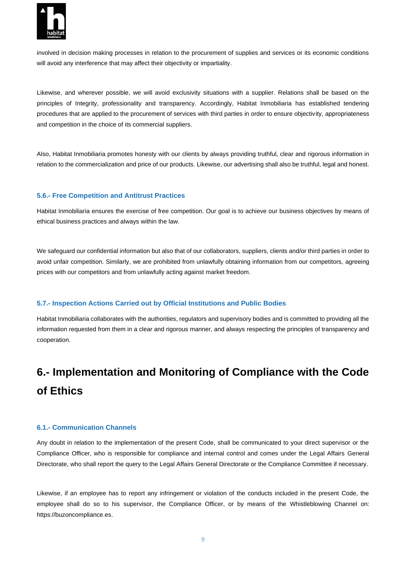

involved in decision making processes in relation to the procurement of supplies and services or its economic conditions will avoid any interference that may affect their objectivity or impartiality.

Likewise, and wherever possible, we will avoid exclusivity situations with a supplier. Relations shall be based on the principles of Integrity, professionality and transparency. Accordingly, Habitat Inmobiliaria has established tendering procedures that are applied to the procurement of services with third parties in order to ensure objectivity, appropriateness and competition in the choice of its commercial suppliers.

Also, Habitat Inmobiliaria promotes honesty with our clients by always providing truthful, clear and rigorous information in relation to the commercialization and price of our products. Likewise, our advertising shall also be truthful, legal and honest.

#### **5.6.- Free Competition and Antitrust Practices**

Habitat Inmobiliaria ensures the exercise of free competition. Our goal is to achieve our business objectives by means of ethical business practices and always within the law.

We safeguard our confidential information but also that of our collaborators, suppliers, clients and/or third parties in order to avoid unfair competition. Similarly, we are prohibited from unlawfully obtaining information from our competitors, agreeing prices with our competitors and from unlawfully acting against market freedom.

#### **5.7.- Inspection Actions Carried out by Official Institutions and Public Bodies**

Habitat Inmobiliaria collaborates with the authorities, regulators and supervisory bodies and is committed to providing all the information requested from them in a clear and rigorous manner, and always respecting the principles of transparency and cooperation.

## **6.- Implementation and Monitoring of Compliance with the Code of Ethics**

#### **6.1.- Communication Channels**

Any doubt in relation to the implementation of the present Code, shall be communicated to your direct supervisor or the Compliance Officer, who is responsible for compliance and internal control and comes under the Legal Affairs General Directorate, who shall report the query to the Legal Affairs General Directorate or the Compliance Committee if necessary.

Likewise, if an employee has to report any infringement or violation of the conducts included in the present Code, the employee shall do so to his supervisor, the Compliance Officer, or by means of the Whistleblowing Channel on: https://buzoncompliance.es.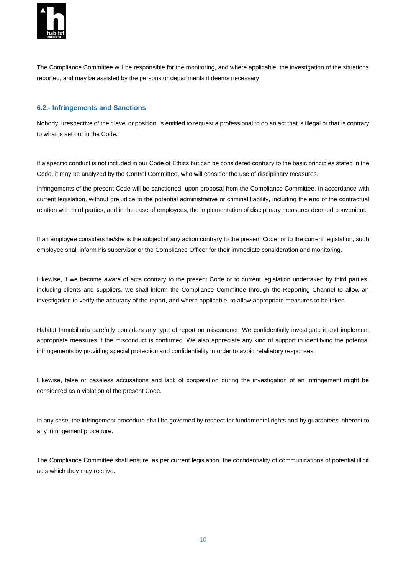

The Compliance Committee will be responsible for the monitoring, and where applicable, the investigation of the situations reported, and may be assisted by the persons or departments it deems necessary.

#### **6.2.- Infringements and Sanctions**

Nobody, irrespective of their level or position, is entitled to request a professional to do an act that is illegal or that is contrary to what is set out in the Code.

If a specific conduct is not included in our Code of Ethics but can be considered contrary to the basic principles stated in the Code, it may be analyzed by the Control Committee, who will consider the use of disciplinary measures.

Infringements of the present Code will be sanctioned, upon proposal from the Compliance Committee, in accordance with current legislation, without prejudice to the potential administrative or criminal liability, including the end of the contractual relation with third parties, and in the case of employees, the implementation of disciplinary measures deemed convenient.

If an employee considers he/she is the subject of any action contrary to the present Code, or to the current legislation, such employee shall inform his supervisor or the Compliance Officer for their immediate consideration and monitoring.

Likewise, if we become aware of acts contrary to the present Code or to current legislation undertaken by third parties, including clients and suppliers, we shall inform the Compliance Committee through the Reporting Channel to allow an investigation to verify the accuracy of the report, and where applicable, to allow appropriate measures to be taken.

Habitat Inmobiliaria carefully considers any type of report on misconduct. We confidentially investigate it and implement appropriate measures if the misconduct is confirmed. We also appreciate any kind of support in identifying the potential infringements by providing special protection and confidentiality in order to avoid retaliatory responses.

Likewise, false or baseless accusations and lack of cooperation during the investigation of an infringement might be considered as a violation of the present Code.

In any case, the infringement procedure shall be governed by respect for fundamental rights and by guarantees inherent to any infringement procedure.

The Compliance Committee shall ensure, as per current legislation, the confidentiality of communications of potential illicit acts which they may receive.